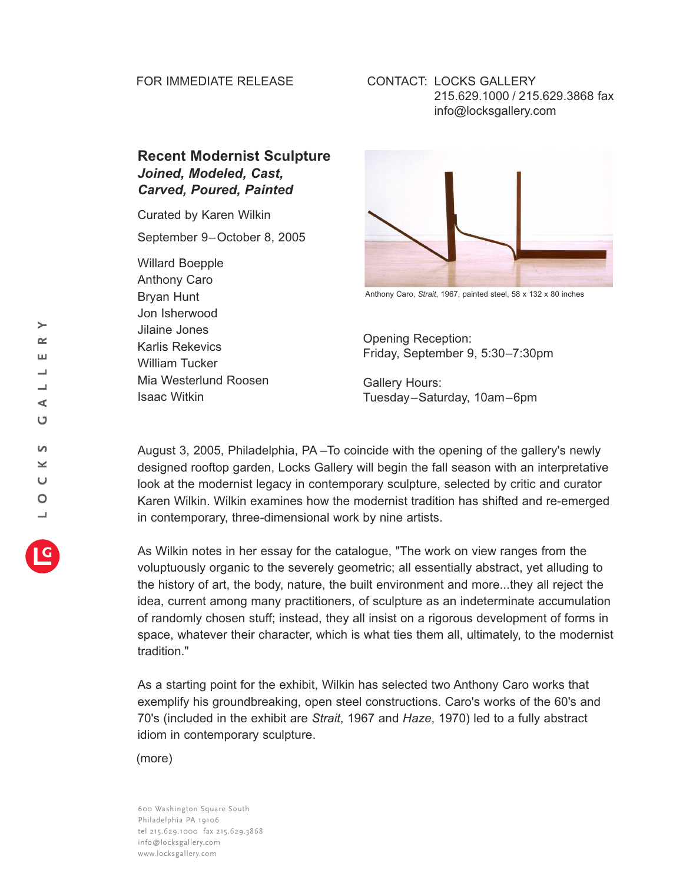## FOR IMMEDIATE RELEASE

## CONTACT: LOCKS GALLERY 215.629.1000 / 215.629.3868 fax info@locksgallery.com

## **Recent Modernist Sculpture** *Joined, Modeled, Cast, Carved, Poured, Painted*

Curated by Karen Wilkin

September 9–October 8, 2005

Willard Boepple Anthony Caro Bryan Hunt Jon Isherwood Jilaine Jones Karlis Rekevics William Tucker Mia Westerlund Roosen Isaac Witkin



Anthony Caro, *Strait*, 1967, painted steel, 58 x 132 x 80 inches

Opening Reception: Friday, September 9, 5:30–7:30pm

Gallery Hours: Tuesday–Saturday, 10am–6pm

August 3, 2005, Philadelphia, PA –To coincide with the opening of the gallery's newly designed rooftop garden, Locks Gallery will begin the fall season with an interpretative look at the modernist legacy in contemporary sculpture, selected by critic and curator Karen Wilkin. Wilkin examines how the modernist tradition has shifted and re-emerged in contemporary, three-dimensional work by nine artists.

As Wilkin notes in her essay for the catalogue, "The work on view ranges from the voluptuously organic to the severely geometric; all essentially abstract, yet alluding to the history of art, the body, nature, the built environment and more...they all reject the idea, current among many practitioners, of sculpture as an indeterminate accumulation of randomly chosen stuff; instead, they all insist on a rigorous development of forms in space, whatever their character, which is what ties them all, ultimately, to the modernist tradition."

As a starting point for the exhibit, Wilkin has selected two Anthony Caro works that exemplify his groundbreaking, open steel constructions. Caro's works of the 60's and 70's (included in the exhibit are *Strait*, 1967 and *Haze*, 1970) led to a fully abstract idiom in contemporary sculpture.

(more)

600 Washington Square South Philadelphia PA 19106 tel 215.629.1000 fax 215.629.3868 info@locksgallery.com www.locksgallery.com

 $\succ$